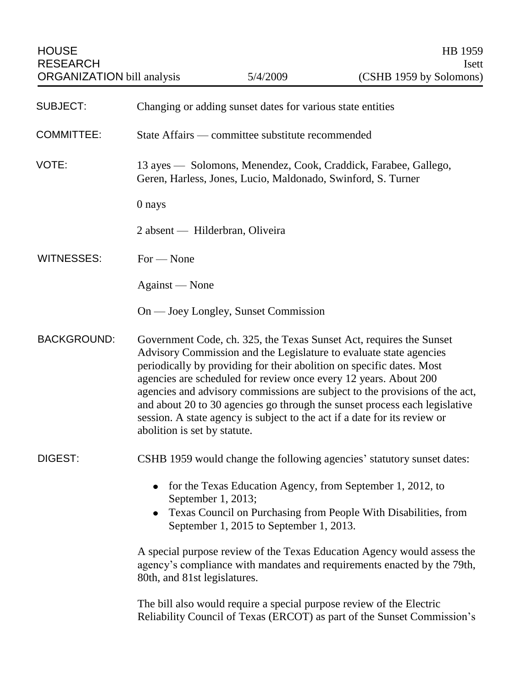| <b>SUBJECT:</b>    | Changing or adding sunset dates for various state entities                                                                                                                                                                                                                                                                                                                                                                                                                                                                                                       |
|--------------------|------------------------------------------------------------------------------------------------------------------------------------------------------------------------------------------------------------------------------------------------------------------------------------------------------------------------------------------------------------------------------------------------------------------------------------------------------------------------------------------------------------------------------------------------------------------|
| <b>COMMITTEE:</b>  | State Affairs — committee substitute recommended                                                                                                                                                                                                                                                                                                                                                                                                                                                                                                                 |
| VOTE:              | 13 ayes — Solomons, Menendez, Cook, Craddick, Farabee, Gallego,<br>Geren, Harless, Jones, Lucio, Maldonado, Swinford, S. Turner                                                                                                                                                                                                                                                                                                                                                                                                                                  |
|                    | 0 nays                                                                                                                                                                                                                                                                                                                                                                                                                                                                                                                                                           |
|                    | 2 absent — Hilderbran, Oliveira                                                                                                                                                                                                                                                                                                                                                                                                                                                                                                                                  |
| WITNESSES:         | $For - None$                                                                                                                                                                                                                                                                                                                                                                                                                                                                                                                                                     |
|                    | Against — None                                                                                                                                                                                                                                                                                                                                                                                                                                                                                                                                                   |
|                    | On — Joey Longley, Sunset Commission                                                                                                                                                                                                                                                                                                                                                                                                                                                                                                                             |
| <b>BACKGROUND:</b> | Government Code, ch. 325, the Texas Sunset Act, requires the Sunset<br>Advisory Commission and the Legislature to evaluate state agencies<br>periodically by providing for their abolition on specific dates. Most<br>agencies are scheduled for review once every 12 years. About 200<br>agencies and advisory commissions are subject to the provisions of the act,<br>and about 20 to 30 agencies go through the sunset process each legislative<br>session. A state agency is subject to the act if a date for its review or<br>abolition is set by statute. |
| DIGEST:            | CSHB 1959 would change the following agencies' statutory sunset dates:                                                                                                                                                                                                                                                                                                                                                                                                                                                                                           |
|                    | for the Texas Education Agency, from September 1, 2012, to<br>September 1, 2013;<br>Texas Council on Purchasing from People With Disabilities, from<br>$\bullet$<br>September 1, 2015 to September 1, 2013.                                                                                                                                                                                                                                                                                                                                                      |
|                    | A special purpose review of the Texas Education Agency would assess the<br>agency's compliance with mandates and requirements enacted by the 79th,<br>80th, and 81st legislatures.                                                                                                                                                                                                                                                                                                                                                                               |
|                    | The bill also would require a special purpose review of the Electric<br>Reliability Council of Texas (ERCOT) as part of the Sunset Commission's                                                                                                                                                                                                                                                                                                                                                                                                                  |